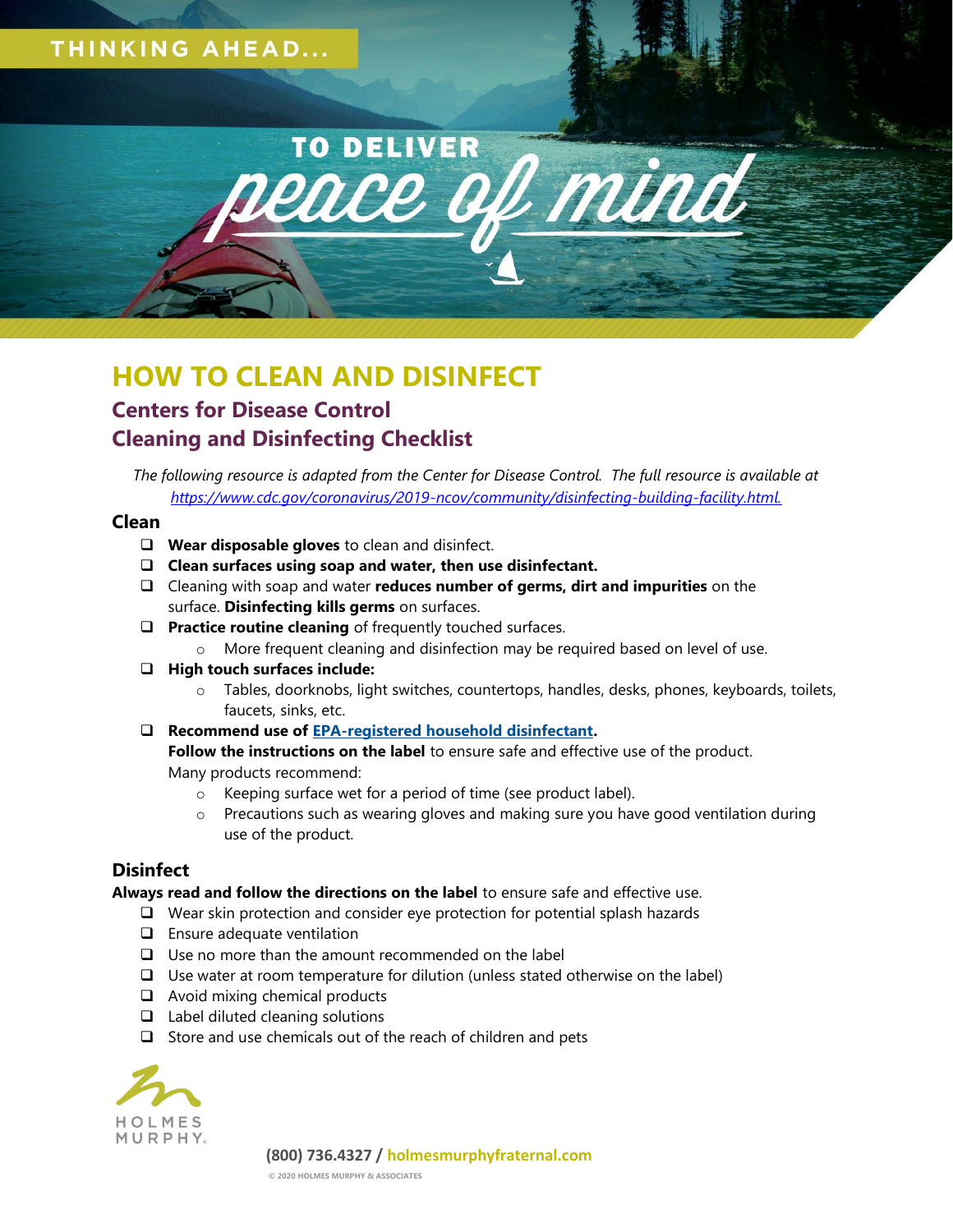## **THINKING AHEAD...**



# **HOW TO CLEAN AND DISINFECT Centers for Disease Control Cleaning and Disinfecting Checklist**

*The following resource is adapted from the Center for Disease Control. The full resource is available at [https://www.cdc.gov/coronavirus/2019-ncov/community/disinfecting-building-facility.html.](https://www.cdc.gov/coronavirus/2019-ncov/community/disinfecting-building-facility.html)*

### **Clean**

- ❑ **Wear disposable gloves** to clean and disinfect.
- ❑ **Clean surfaces using soap and water, then use disinfectant.**
- ❑ Cleaning with soap and water **reduces number of germs, dirt and impurities** on the surface. **Disinfecting kills germs** on surfaces.
- ❑ **Practice routine cleaning** of frequently touched surfaces.
	- $\circ$  More frequent cleaning and disinfection may be required based on level of use.
- ❑ **High touch surfaces include:**
	- o Tables, doorknobs, light switches, countertops, handles, desks, phones, keyboards, toilets, faucets, sinks, etc.
- ❑ **Recommend use of [EPA-registered household disinfectant.](https://www.epa.gov/pesticide-registration/list-n-disinfectants-use-against-sars-cov-2)**

**Follow the instructions on the label** to ensure safe and effective use of the product. Many products recommend:

- o Keeping surface wet for a period of time (see product label).
- $\circ$  Precautions such as wearing gloves and making sure you have good ventilation during use of the product.

## **Disinfect**

**Always read and follow the directions on the label** to ensure safe and effective use.

- ❑ Wear skin protection and consider eye protection for potential splash hazards
- ❑ Ensure adequate ventilation
- ❑ Use no more than the amount recommended on the label
- ❑ Use water at room temperature for dilution (unless stated otherwise on the label)
- ❑ Avoid mixing chemical products
- ❑ Label diluted cleaning solutions
- ❑ Store and use chemicals out of the reach of children and pets



**(800) 736.4327 / holmesmurphyfraternal.com**

**© 2020 HOLMES MURPHY & ASSOCIATES**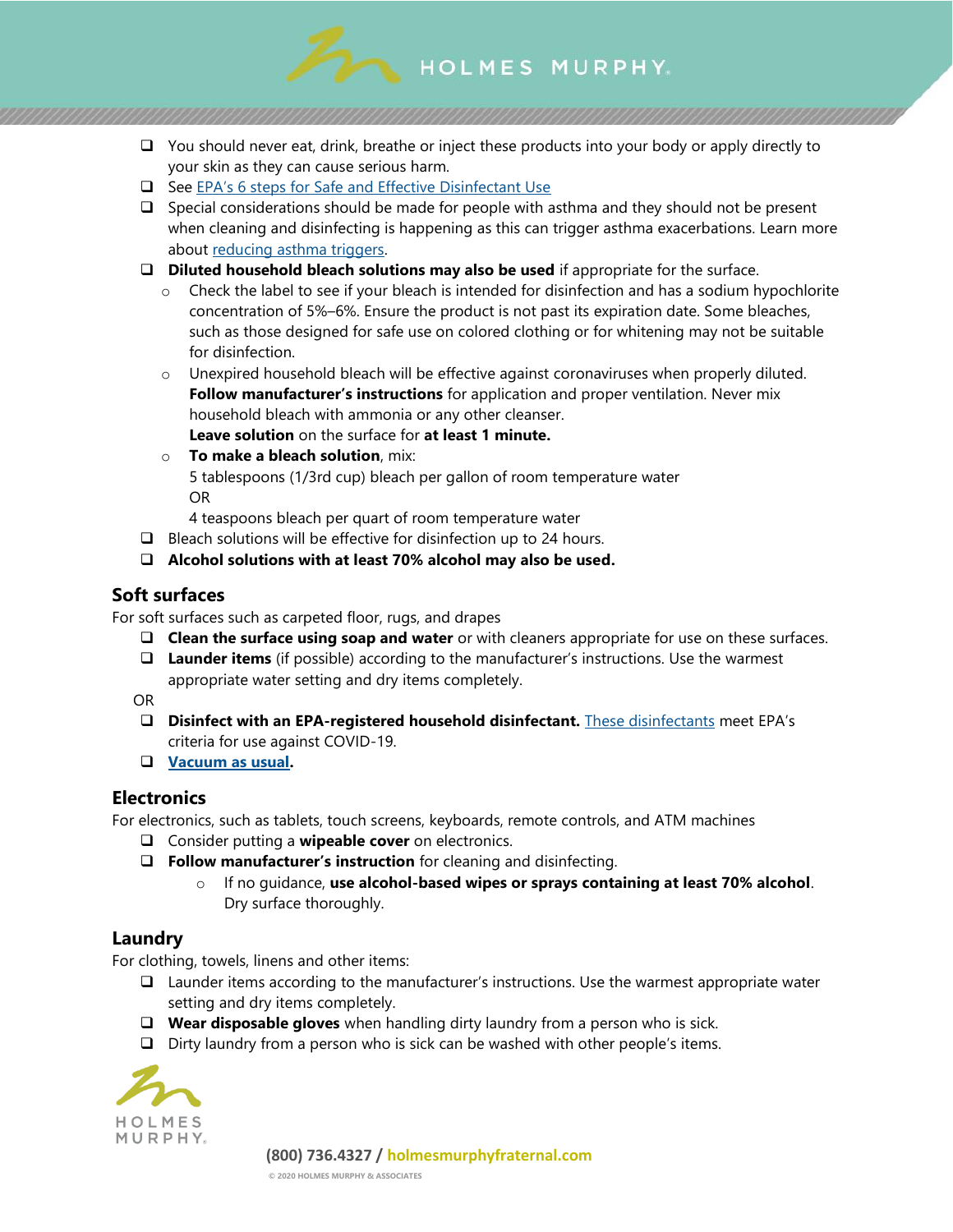

- ❑ You should never eat, drink, breathe or inject these products into your body or apply directly to your skin as they can cause serious harm.
- ❑ See EPA's 6 st[eps for Safe and Effective Disinfectant Use](https://www.epa.gov/pesticide-registration/six-steps-safe-effective-disinfectant-use)
- ❑ Special considerations should be made for people with asthma and they should not be present when cleaning and disinfecting is happening as this can trigger asthma exacerbations. Learn more about [reducing asthma triggers.](https://www.cdc.gov/asthma/reduce_triggers.html)
- ❑ **Diluted household bleach solutions may also be used** if appropriate for the surface.
	- o Check the label to see if your bleach is intended for disinfection and has a sodium hypochlorite concentration of 5%–6%. Ensure the product is not past its expiration date. Some bleaches, such as those designed for safe use on colored clothing or for whitening may not be suitable for disinfection.
	- $\circ$  Unexpired household bleach will be effective against coronaviruses when properly diluted. **Follow manufacturer's instructions** for application and proper ventilation. Never mix household bleach with ammonia or any other cleanser.

**Leave solution** on the surface for **at least 1 minute.**

o **To make a bleach solution**, mix: 5 tablespoons (1/3rd cup) bleach per gallon of room temperature water OR

4 teaspoons bleach per quart of room temperature water

- ❑ Bleach solutions will be effective for disinfection up to 24 hours.
- ❑ **Alcohol solutions with at least 70% alcohol may also be used.**

## **Soft surfaces**

For soft surfaces such as carpeted floor, rugs, and drapes

- ❑ **Clean the surface using soap and water** or with cleaners appropriate for use on these surfaces.
- ❑ **Launder items** (if possible) according to the manufacturer's instructions. Use the warmest appropriate water setting and dry items completely.

OR

- ❑ **Disinfect with an EPA-registered household disinfectant.** [These disinfectants](https://www.epa.gov/pesticide-registration/list-n-disinfectants-use-against-sars-cov-2) meet EPA's criteria for use against COVID-19.
- ❑ **[Vacuum as usual.](https://www.cdc.gov/coronavirus/2019-ncov/faq.html#Cleaning-and-Disinfection)**

## **Electronics**

For electronics, such as tablets, touch screens, keyboards, remote controls, and ATM machines

- ❑ Consider putting a **wipeable cover** on electronics.
- ❑ **Follow manufacturer's instruction** for cleaning and disinfecting.
	- o If no guidance, **use alcohol-based wipes or sprays containing at least 70% alcohol**. Dry surface thoroughly.

## **Laundry**

For clothing, towels, linens and other items:

- ❑ Launder items according to the manufacturer's instructions. Use the warmest appropriate water setting and dry items completely.
- ❑ **Wear disposable gloves** when handling dirty laundry from a person who is sick.
- ❑ Dirty laundry from a person who is sick can be washed with other people's items.



**(800) 736.4327 / holmesmurphyfraternal.com**

**© 2020 HOLMES MURPHY & ASSOCIATES**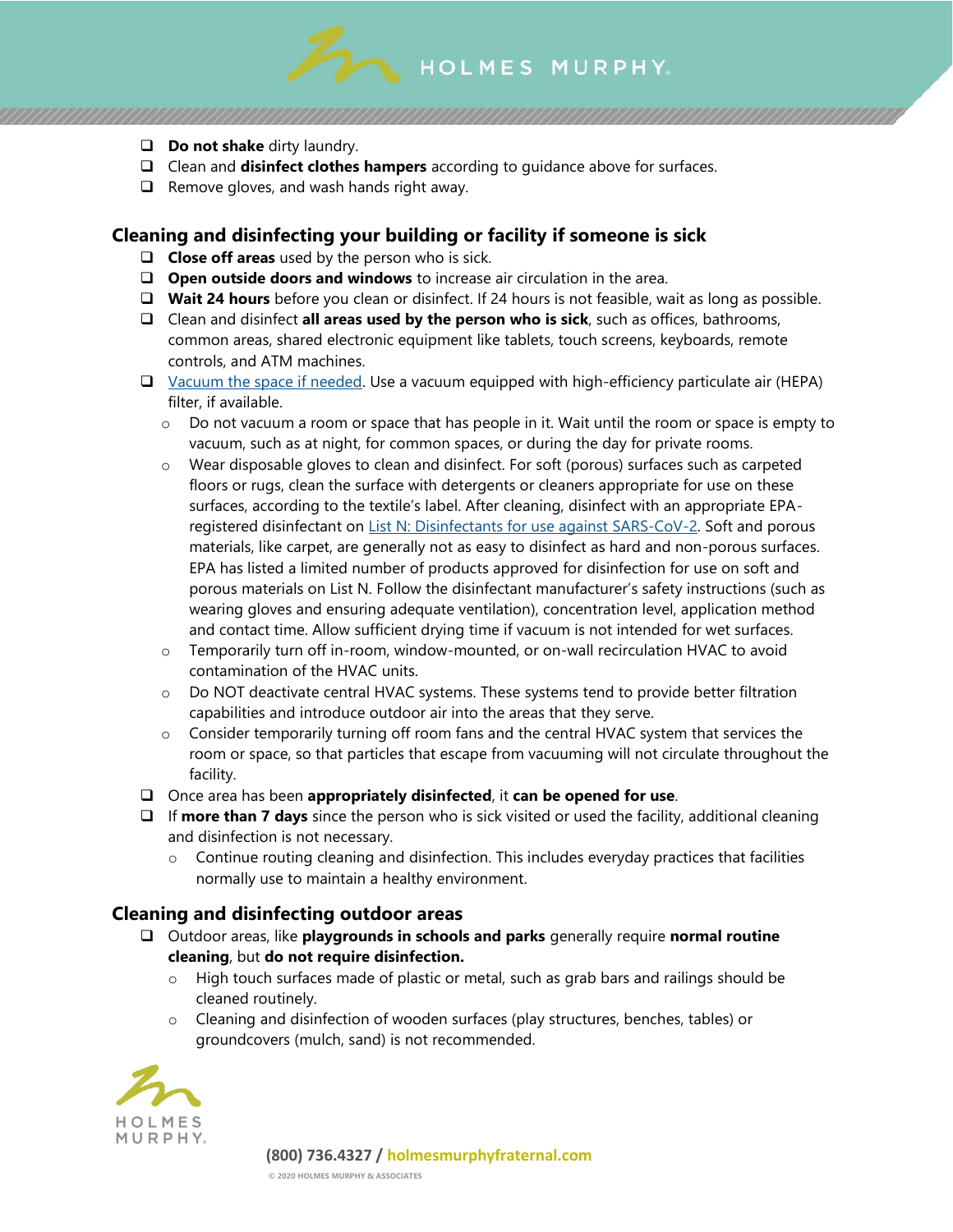

- ❑ **Do not shake** dirty laundry.
- ❑ Clean and **disinfect clothes hampers** according to guidance above for surfaces.
- ❑ Remove gloves, and wash hands right away.

## **Cleaning and disinfecting your building or facility if someone is sick**

- ❑ **Close off areas** used by the person who is sick.
- ❑ **Open outside doors and windows** to increase air circulation in the area.
- ❑ **Wait 24 hours** before you clean or disinfect. If 24 hours is not feasible, wait as long as possible.
- ❑ Clean and disinfect **all areas used by the person who is sick**, such as offices, bathrooms, common areas, shared electronic equipment like tablets, touch screens, keyboards, remote controls, and ATM machines.
- ❑ [Vacuum the space if needed.](https://www.cdc.gov/coronavirus/2019-ncov/faq.html#Cleaning-and-Disinfection) Use a vacuum equipped with high-efficiency particulate air (HEPA) filter, if available.
	- $\circ$  Do not vacuum a room or space that has people in it. Wait until the room or space is empty to vacuum, such as at night, for common spaces, or during the day for private rooms.
	- $\circ$  Wear disposable gloves to clean and disinfect. For soft (porous) surfaces such as carpeted floors or rugs, clean the surface with detergents or cleaners appropriate for use on these surfaces, according to the textile's label. After cleaning, disinfect with an appropriate EPAregistered disinfectant on [List N: Disinfectants for use against SARS-CoV-2.](https://www.epa.gov/pesticide-registration/list-n-disinfectants-use-against-sars-cov-2-covid-19) Soft and porous materials, like carpet, are generally not as easy to disinfect as hard and non-porous surfaces. EPA has listed a limited number of products approved for disinfection for use on soft and porous materials on List N. Follow the disinfectant manufacturer's safety instructions (such as wearing gloves and ensuring adequate ventilation), concentration level, application method and contact time. Allow sufficient drying time if vacuum is not intended for wet surfaces.
	- o Temporarily turn off in-room, window-mounted, or on-wall recirculation HVAC to avoid contamination of the HVAC units.
	- o Do NOT deactivate central HVAC systems. These systems tend to provide better filtration capabilities and introduce outdoor air into the areas that they serve.
	- $\circ$  Consider temporarily turning off room fans and the central HVAC system that services the room or space, so that particles that escape from vacuuming will not circulate throughout the facility.
- ❑ Once area has been **appropriately disinfected**, it **can be opened for use**.
- ❑ If **more than 7 days** since the person who is sick visited or used the facility, additional cleaning and disinfection is not necessary.
	- $\circ$  Continue routing cleaning and disinfection. This includes everyday practices that facilities normally use to maintain a healthy environment.

## **Cleaning and disinfecting outdoor areas**

- ❑ Outdoor areas, like **playgrounds in schools and parks** generally require **normal routine cleaning**, but **do not require disinfection.**
	- $\circ$  High touch surfaces made of plastic or metal, such as grab bars and railings should be cleaned routinely.
	- o Cleaning and disinfection of wooden surfaces (play structures, benches, tables) or groundcovers (mulch, sand) is not recommended.



**(800) 736.4327 / holmesmurphyfraternal.com**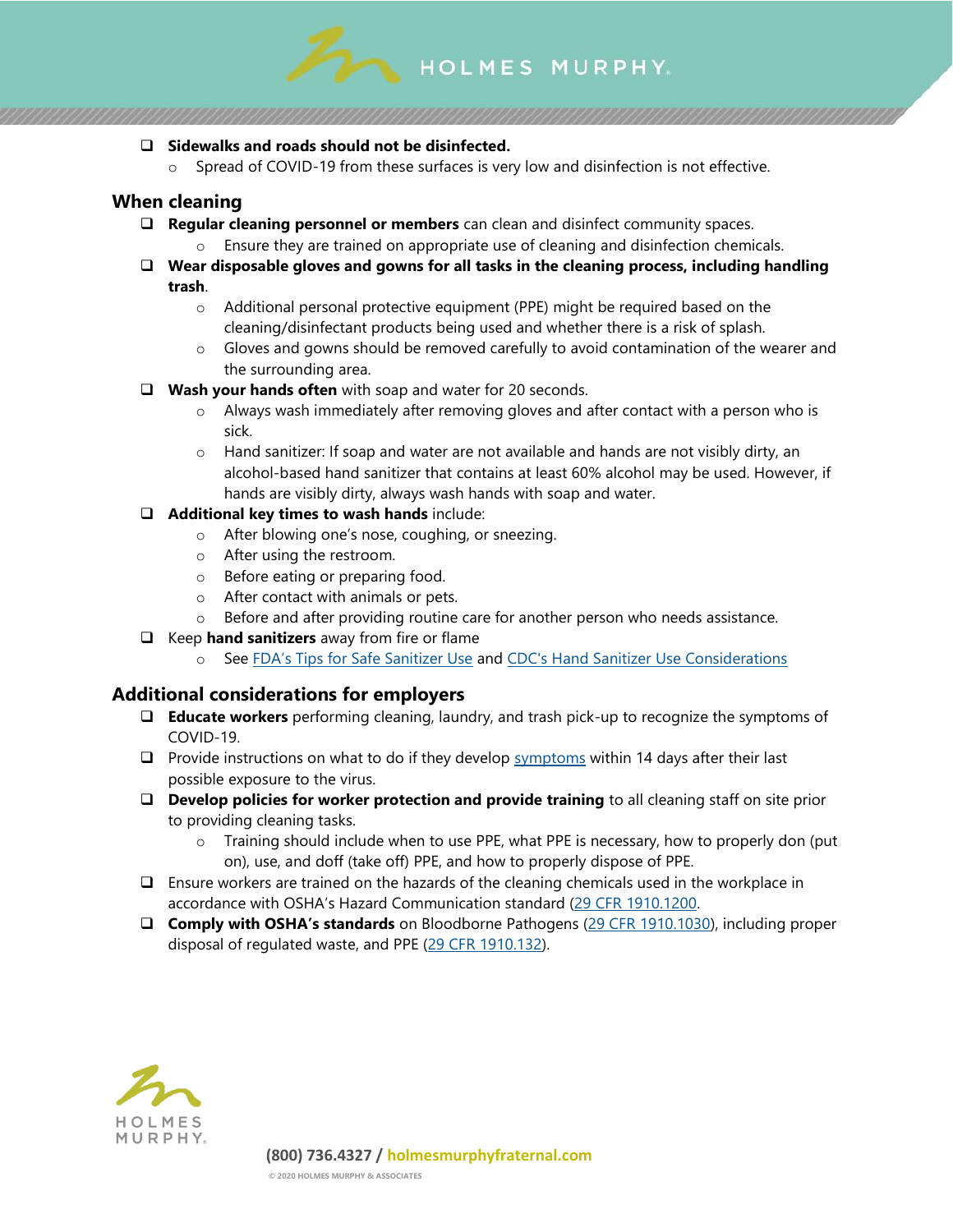

#### ❑ **Sidewalks and roads should not be disinfected.**

o Spread of COVID-19 from these surfaces is very low and disinfection is not effective.

### **When cleaning**

- ❑ **Regular cleaning personnel or members** can clean and disinfect community spaces.
	- Ensure they are trained on appropriate use of cleaning and disinfection chemicals.
- ❑ **Wear disposable gloves and gowns for all tasks in the cleaning process, including handling trash**.
	- o Additional personal protective equipment (PPE) might be required based on the cleaning/disinfectant products being used and whether there is a risk of splash.
	- $\circ$  Gloves and gowns should be removed carefully to avoid contamination of the wearer and the surrounding area.
- ❑ **Wash your hands often** with soap and water for 20 seconds.
	- o Always wash immediately after removing gloves and after contact with a person who is sick.
	- o Hand sanitizer: If soap and water are not available and hands are not visibly dirty, an alcohol-based hand sanitizer that contains at least 60% alcohol may be used. However, if hands are visibly dirty, always wash hands with soap and water.
- ❑ **Additional key times to wash hands** include:
	- o After blowing one's nose, coughing, or sneezing.
	- o After using the restroom.
	- o Before eating or preparing food.
	- o After contact with animals or pets.
	- $\circ$  Before and after providing routine care for another person who needs assistance.
- ❑ Keep **hand sanitizers** away from fire or flame
	- o See [FDA's Tips for Safe Sanitizer Use](https://www.fda.gov/consumers/consumer-updates/safely-using-hand-sanitizer) and [CDC's Hand Sanitizer Use Considerations](https://www.cdc.gov/handwashing/hand-sanitizer-use.html)

## **Additional considerations for employers**

- ❑ **Educate workers** performing cleaning, laundry, and trash pick-up to recognize the symptoms of COVID-19.
- $\Box$  Provide instructions on what to do if they develop [symptoms](https://www.cdc.gov/coronavirus/2019-ncov/about/symptoms.html) within 14 days after their last possible exposure to the virus.
- ❑ **Develop policies for worker protection and provide training** to all cleaning staff on site prior to providing cleaning tasks.
	- $\circ$  Training should include when to use PPE, what PPE is necessary, how to properly don (put on), use, and doff (take off) PPE, and how to properly dispose of PPE.
- ❑ Ensure workers are trained on the hazards of the cleaning chemicals used in the workplace in accordance with OSHA's Hazard Communication standard ([29 CFR 1910.1200.](https://www.osha.gov/laws-regs/regulations/standardnumber/1910/1910.1200)
- ❑ **Comply with OSHA's standards** on Bloodborne Pathogens [\(29 CFR 1910.1030\)](https://www.osha.gov/laws-regs/regulations/standardnumber/1910/1910.1030), including proper disposal of regulated waste, and PPE [\(29 CFR 1910.132\)](https://www.osha.gov/laws-regs/regulations/standardnumber/1910/1910.132).